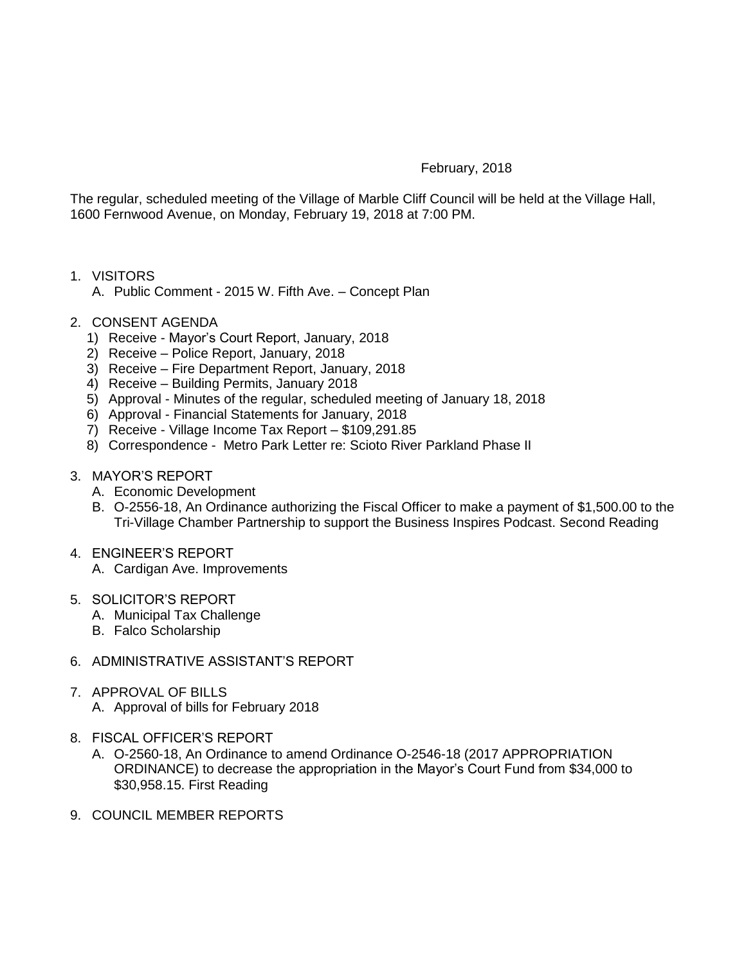## February, 2018

The regular, scheduled meeting of the Village of Marble Cliff Council will be held at the Village Hall, 1600 Fernwood Avenue, on Monday, February 19, 2018 at 7:00 PM.

- 1. VISITORS
	- A. Public Comment 2015 W. Fifth Ave. Concept Plan
- 2. CONSENT AGENDA
	- 1) Receive Mayor's Court Report, January, 2018
	- 2) Receive Police Report, January, 2018
	- 3) Receive Fire Department Report, January, 2018
	- 4) Receive Building Permits, January 2018
	- 5) Approval Minutes of the regular, scheduled meeting of January 18, 2018
	- 6) Approval Financial Statements for January, 2018
	- 7) Receive Village Income Tax Report \$109,291.85
	- 8) Correspondence Metro Park Letter re: Scioto River Parkland Phase II
- 3. MAYOR'S REPORT
	- A. Economic Development
	- B. O-2556-18, An Ordinance authorizing the Fiscal Officer to make a payment of \$1,500.00 to the Tri-Village Chamber Partnership to support the Business Inspires Podcast. Second Reading

## 4. ENGINEER'S REPORT

- A. Cardigan Ave. Improvements
- 5. SOLICITOR'S REPORT
	- A. Municipal Tax Challenge
	- B. Falco Scholarship
- 6. ADMINISTRATIVE ASSISTANT'S REPORT
- 7. APPROVAL OF BILLS
	- A. Approval of bills for February 2018
- 8. FISCAL OFFICER'S REPORT
	- A. O-2560-18, An Ordinance to amend Ordinance O-2546-18 (2017 APPROPRIATION ORDINANCE) to decrease the appropriation in the Mayor's Court Fund from \$34,000 to \$30,958.15. First Reading
- 9. COUNCIL MEMBER REPORTS